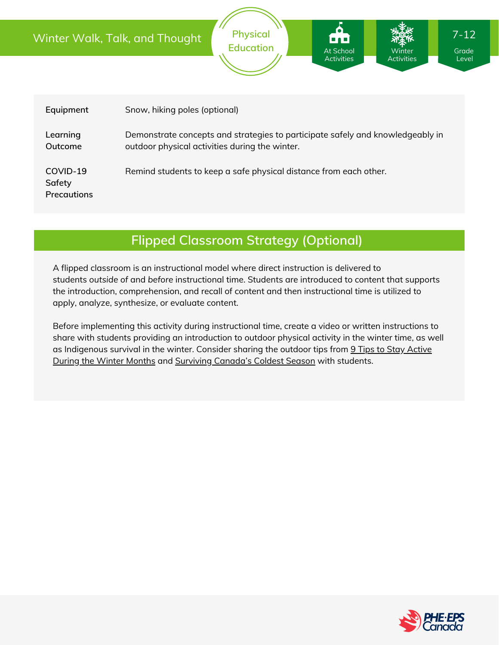|                                          | Winter Walk, Talk, and Thought                                                                                                   | <b>Physical</b><br><b>Education</b>                               | At School<br><b>Activities</b> | <b>Winter</b><br><b>Activities</b> | $7 - 12$<br>Grade<br>Level |
|------------------------------------------|----------------------------------------------------------------------------------------------------------------------------------|-------------------------------------------------------------------|--------------------------------|------------------------------------|----------------------------|
| Equipment                                | Snow, hiking poles (optional)                                                                                                    |                                                                   |                                |                                    |                            |
| Learning<br>Outcome                      | Demonstrate concepts and strategies to participate safely and knowledgeably in<br>outdoor physical activities during the winter. |                                                                   |                                |                                    |                            |
| COVID-19<br>Safety<br><b>Precautions</b> |                                                                                                                                  | Remind students to keep a safe physical distance from each other. |                                |                                    |                            |

## **Flipped Classroom Strategy (Optional)**

A flipped classroom is an instructional model where direct instruction is delivered to students *outside of* and *before* instructional time. Students are introduced to content that supports the introduction, comprehension, and recall of content and then instructional time is utilized to apply, analyze, synthesize, or evaluate content.

Before implementing this activity during instructional time, create a video or written instructions to share with students providing an introduction to outdoor physical activity in the winter time, as well as [Indigenous](https://www.chiropractic.ca/blog/9-tips-to-stay-active-during-the-winter-months/) survival in the winter. Consider sharing the outdoor tips from 9 Tips to Stay Active During the Winter Months and Surviving [Canada's](https://www.toqueandcanoe.com/2017/01/11/surviving-canadas-coldest-season/) Coldest Season with students.

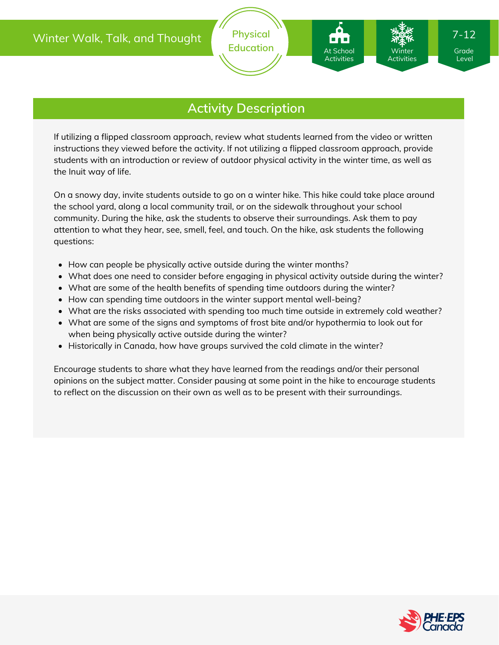At School Activities

If utilizing a flipped classroom approach, review what students learned from the video or written instructions they viewed before the activity. If not utilizing a flipped classroom approach, provide students with an introduction or review of outdoor physical activity in the winter time, as well as the Inuit way of life.

On a snowy day, invite students outside to go on a winter hike. This hike could take place around the school yard, along a local community trail, or on the sidewalk throughout your school community. During the hike, ask the students to observe their surroundings. Ask them to pay attention to what they hear, see, smell, feel, and touch. On the hike, ask students the following questions:

- How can people be physically active outside during the winter months?
- What does one need to consider before engaging in physical activity outside during the winter?
- What are some of the health benefits of spending time outdoors during the winter?
- How can spending time outdoors in the winter support mental well-being?
- What are the risks associated with spending too much time outside in extremely cold weather?
- What are some of the signs and symptoms of frost bite and/or hypothermia to look out for when being physically active outside during the winter?
- Historically in Canada, how have groups survived the cold climate in the winter?

Encourage students to share what they have learned from the readings and/or their personal opinions on the subject matter. Consider pausing at some point in the hike to encourage students to reflect on the discussion on their own as well as to be present with their surroundings.



Level

Winter Activities 7-12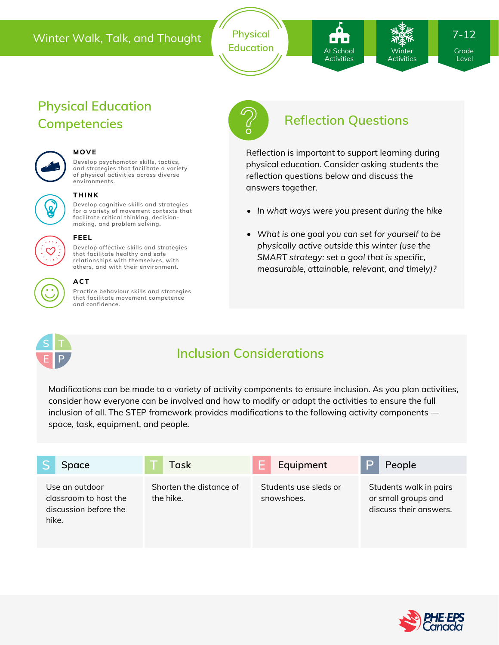### Winter Walk, Talk, and Thought **Physical**

Education **At School** The Winter Grade

# At School Activities

Winter Activities 7-12

Level

# **Physical Education Competencies Reflection Questions**



### **MOVE**

**Develop psychomotor skills, tactics, and strategies that facilitate a variety of physical activities across diverse environments.**



#### **THINK**

**Develop cognitive skills and strategies for a variety of movement contexts that facilitate critical thinking, decision making, and problem solving.**



#### **FEEL**

**Develop affective skills and strategies that facilitate healthy and safe relationships with themselves, with others, and with their environment.**



### **ACT**

**Practice behaviour skills and strategies that facilitate movement competence and confidence.**



Reflection is important to support learning during physical education. Consider asking students the reflection questions below and discuss the answers together.

- *In what ways were you present during the hike*
- *What is one goal you can set for yourself to be physically active outside this winter (use the SMART strategy: set a goal that is specific, measurable, attainable, relevant, and timely)?*



### **Inclusion Considerations**

Modifications can be made to a variety of activity components to ensure inclusion. As you plan activities, consider how everyone can be involved and how to modify or adapt the activities to ensure the full inclusion of all. The STEP framework provides modifications to the following activity components space, task, equipment, and people.

| Space                                                                     | Task                                 | Equipment                           | People                                                                  |
|---------------------------------------------------------------------------|--------------------------------------|-------------------------------------|-------------------------------------------------------------------------|
| Use an outdoor<br>classroom to host the<br>discussion before the<br>hike. | Shorten the distance of<br>the hike. | Students use sleds or<br>snowshoes. | Students walk in pairs<br>or small groups and<br>discuss their answers. |